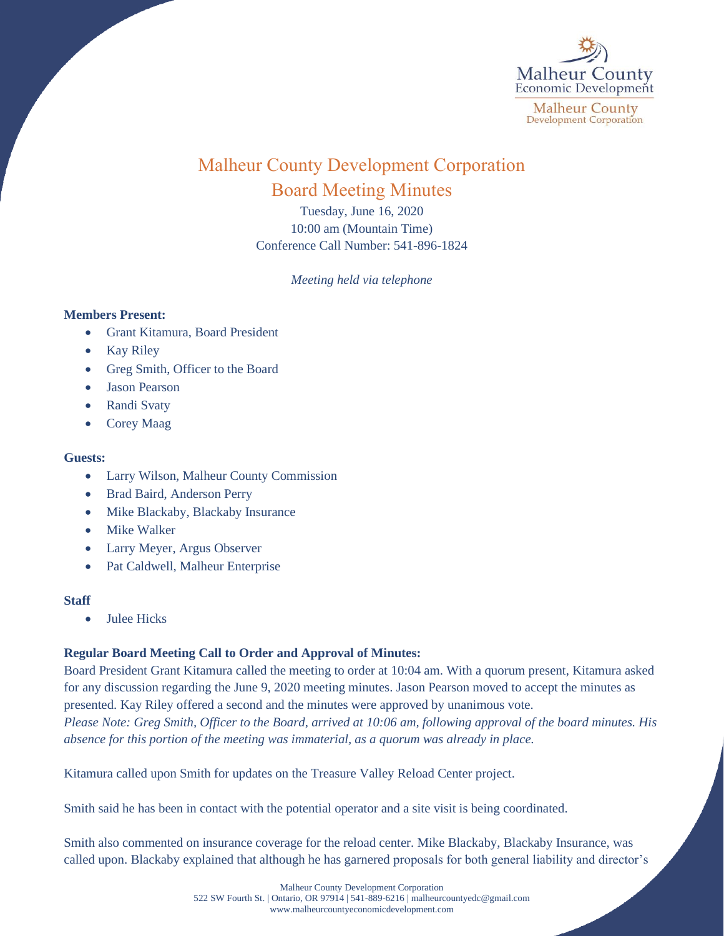

# Malheur County Development Corporation Board Meeting Minutes

Tuesday, June 16, 2020 10:00 am (Mountain Time) Conference Call Number: 541-896-1824

*Meeting held via telephone*

### **Members Present:**

- Grant Kitamura, Board President
- Kay Riley
- Greg Smith, Officer to the Board
- Jason Pearson
- Randi Svaty
- Corey Maag

#### **Guests:**

- Larry Wilson, Malheur County Commission
- Brad Baird, Anderson Perry
- Mike Blackaby, Blackaby Insurance
- Mike Walker
- Larry Meyer, Argus Observer
- Pat Caldwell, Malheur Enterprise

#### **Staff**

• Julee Hicks

## **Regular Board Meeting Call to Order and Approval of Minutes:**

Board President Grant Kitamura called the meeting to order at 10:04 am. With a quorum present, Kitamura asked for any discussion regarding the June 9, 2020 meeting minutes. Jason Pearson moved to accept the minutes as presented. Kay Riley offered a second and the minutes were approved by unanimous vote. *Please Note: Greg Smith, Officer to the Board, arrived at 10:06 am, following approval of the board minutes. His absence for this portion of the meeting was immaterial, as a quorum was already in place.* 

Kitamura called upon Smith for updates on the Treasure Valley Reload Center project.

Smith said he has been in contact with the potential operator and a site visit is being coordinated.

Smith also commented on insurance coverage for the reload center. Mike Blackaby, Blackaby Insurance, was called upon. Blackaby explained that although he has garnered proposals for both general liability and director's